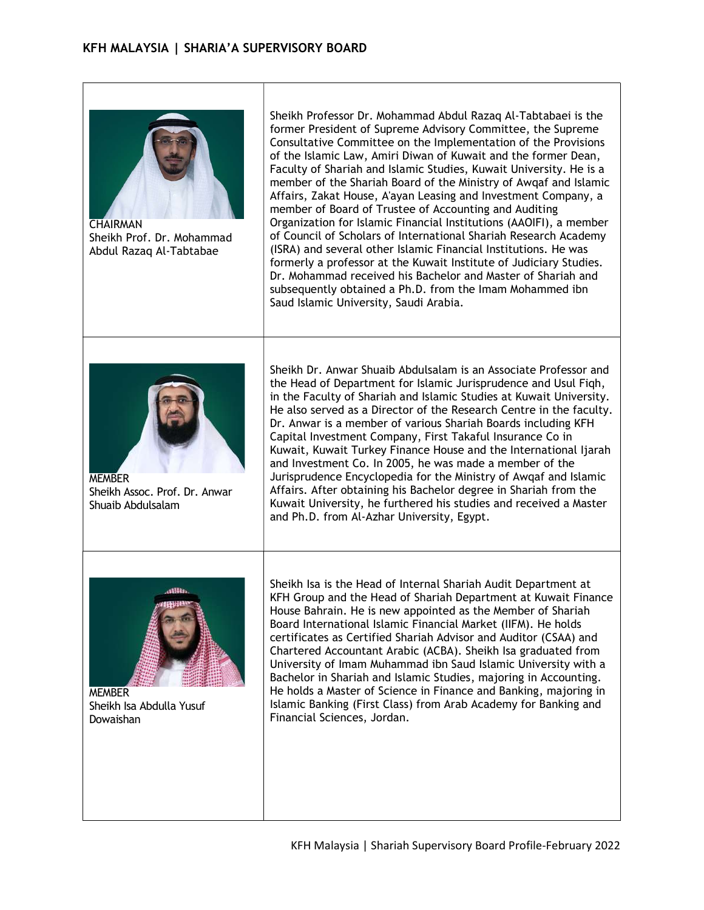

**CHAIRMAN** Sheikh Prof. Dr. Mohammad Abdul Razaq Al-Tabtabae

Sheikh Professor Dr. Mohammad Abdul Razaq Al-Tabtabaei is the former President of Supreme Advisory Committee, the Supreme Consultative Committee on the Implementation of the Provisions of the Islamic Law, Amiri Diwan of Kuwait and the former Dean, Faculty of Shariah and Islamic Studies, Kuwait University. He is a member of the Shariah Board of the Ministry of Awqaf and Islamic Affairs, Zakat House, A'ayan Leasing and Investment Company, a member of Board of Trustee of Accounting and Auditing Organization for Islamic Financial Institutions (AAOIFI), a member of Council of Scholars of International Shariah Research Academy (ISRA) and several other Islamic Financial Institutions. He was formerly a professor at the Kuwait Institute of Judiciary Studies. Dr. Mohammad received his Bachelor and Master of Shariah and subsequently obtained a Ph.D. from the Imam Mohammed ibn Saud Islamic University, Saudi Arabia.



MEMBER Sheikh Assoc. Prof. Dr. Anwar Shuaib Abdulsalam

Sheikh Dr. Anwar Shuaib Abdulsalam is an Associate Professor and the Head of Department for Islamic Jurisprudence and Usul Fiqh, in the Faculty of Shariah and Islamic Studies at Kuwait University. He also served as a Director of the Research Centre in the faculty. Dr. Anwar is a member of various Shariah Boards including KFH Capital Investment Company, First Takaful Insurance Co in Kuwait, Kuwait Turkey Finance House and the International Ijarah and Investment Co. In 2005, he was made a member of the Jurisprudence Encyclopedia for the Ministry of Awqaf and Islamic Affairs. After obtaining his Bachelor degree in Shariah from the Kuwait University, he furthered his studies and received a Master and Ph.D. from Al-Azhar University, Egypt.



**MEMBER** Sheikh Isa Abdulla Yusuf Dowaishan

Sheikh Isa is the Head of Internal Shariah Audit Department at KFH Group and the Head of Shariah Department at Kuwait Finance House Bahrain. He is new appointed as the Member of Shariah Board International Islamic Financial Market (IIFM). He holds certificates as Certified Shariah Advisor and Auditor (CSAA) and Chartered Accountant Arabic (ACBA). Sheikh Isa graduated from University of Imam Muhammad ibn Saud Islamic University with a Bachelor in Shariah and Islamic Studies, majoring in Accounting. He holds a Master of Science in Finance and Banking, majoring in Islamic Banking (First Class) from Arab Academy for Banking and Financial Sciences, Jordan.